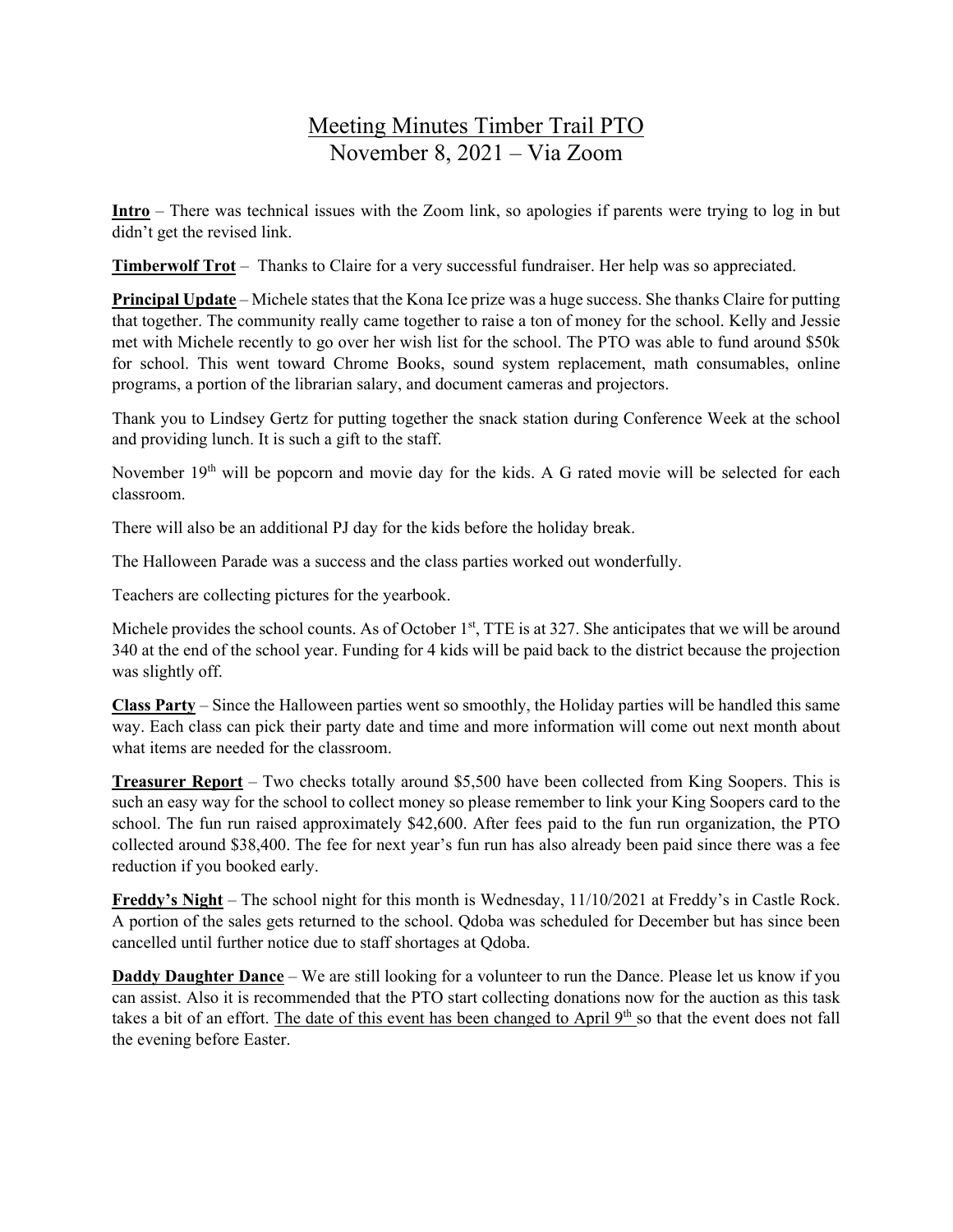## Meeting Minutes Timber Trail PTO November 8, 2021 – Via Zoom

**Intro** – There was technical issues with the Zoom link, so apologies if parents were trying to log in but didn't get the revised link.

**Timberwolf Trot** – Thanks to Claire for a very successful fundraiser. Her help was so appreciated.

**Principal Update** – Michele states that the Kona Ice prize was a huge success. She thanks Claire for putting that together. The community really came together to raise a ton of money for the school. Kelly and Jessie met with Michele recently to go over her wish list for the school. The PTO was able to fund around \$50k for school. This went toward Chrome Books, sound system replacement, math consumables, online programs, a portion of the librarian salary, and document cameras and projectors.

Thank you to Lindsey Gertz for putting together the snack station during Conference Week at the school and providing lunch. It is such a gift to the staff.

November 19<sup>th</sup> will be popcorn and movie day for the kids. A G rated movie will be selected for each classroom.

There will also be an additional PJ day for the kids before the holiday break.

The Halloween Parade was a success and the class parties worked out wonderfully.

Teachers are collecting pictures for the yearbook.

Michele provides the school counts. As of October  $1<sup>st</sup>$ , TTE is at 327. She anticipates that we will be around 340 at the end of the school year. Funding for 4 kids will be paid back to the district because the projection was slightly off.

**Class Party** – Since the Halloween parties went so smoothly, the Holiday parties will be handled this same way. Each class can pick their party date and time and more information will come out next month about what items are needed for the classroom.

**Treasurer Report** – Two checks totally around \$5,500 have been collected from King Soopers. This is such an easy way for the school to collect money so please remember to link your King Soopers card to the school. The fun run raised approximately \$42,600. After fees paid to the fun run organization, the PTO collected around \$38,400. The fee for next year's fun run has also already been paid since there was a fee reduction if you booked early.

**Freddy's Night** – The school night for this month is Wednesday, 11/10/2021 at Freddy's in Castle Rock. A portion of the sales gets returned to the school. Qdoba was scheduled for December but has since been cancelled until further notice due to staff shortages at Qdoba.

**Daddy Daughter Dance** – We are still looking for a volunteer to run the Dance. Please let us know if you can assist. Also it is recommended that the PTO start collecting donations now for the auction as this task takes a bit of an effort. The date of this event has been changed to April 9<sup>th</sup> so that the event does not fall the evening before Easter.